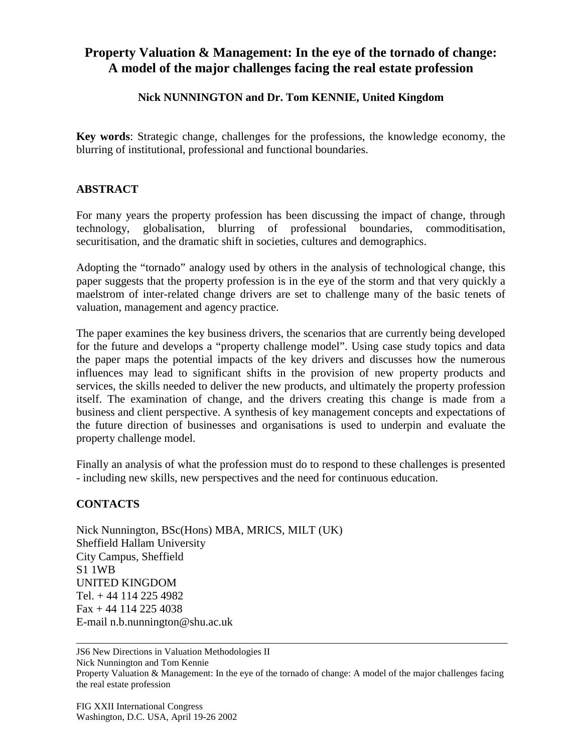## **Property Valuation & Management: In the eye of the tornado of change: A model of the major challenges facing the real estate profession**

## **Nick NUNNINGTON and Dr. Tom KENNIE, United Kingdom**

**Key words**: Strategic change, challenges for the professions, the knowledge economy, the blurring of institutional, professional and functional boundaries.

## **ABSTRACT**

For many years the property profession has been discussing the impact of change, through technology, globalisation, blurring of professional boundaries, commoditisation, securitisation, and the dramatic shift in societies, cultures and demographics.

Adopting the "tornado" analogy used by others in the analysis of technological change, this paper suggests that the property profession is in the eye of the storm and that very quickly a maelstrom of inter-related change drivers are set to challenge many of the basic tenets of valuation, management and agency practice.

The paper examines the key business drivers, the scenarios that are currently being developed for the future and develops a "property challenge model". Using case study topics and data the paper maps the potential impacts of the key drivers and discusses how the numerous influences may lead to significant shifts in the provision of new property products and services, the skills needed to deliver the new products, and ultimately the property profession itself. The examination of change, and the drivers creating this change is made from a business and client perspective. A synthesis of key management concepts and expectations of the future direction of businesses and organisations is used to underpin and evaluate the property challenge model.

Finally an analysis of what the profession must do to respond to these challenges is presented - including new skills, new perspectives and the need for continuous education.

## **CONTACTS**

Nick Nunnington, BSc(Hons) MBA, MRICS, MILT (UK) Sheffield Hallam University City Campus, Sheffield S1 1WB UNITED KINGDOM Tel. + 44 114 225 4982 Fax + 44 114 225 4038 E-mail n.b.nunnington@shu.ac.uk

JS6 New Directions in Valuation Methodologies II Nick Nunnington and Tom Kennie Property Valuation & Management: In the eye of the tornado of change: A model of the major challenges facing the real estate profession